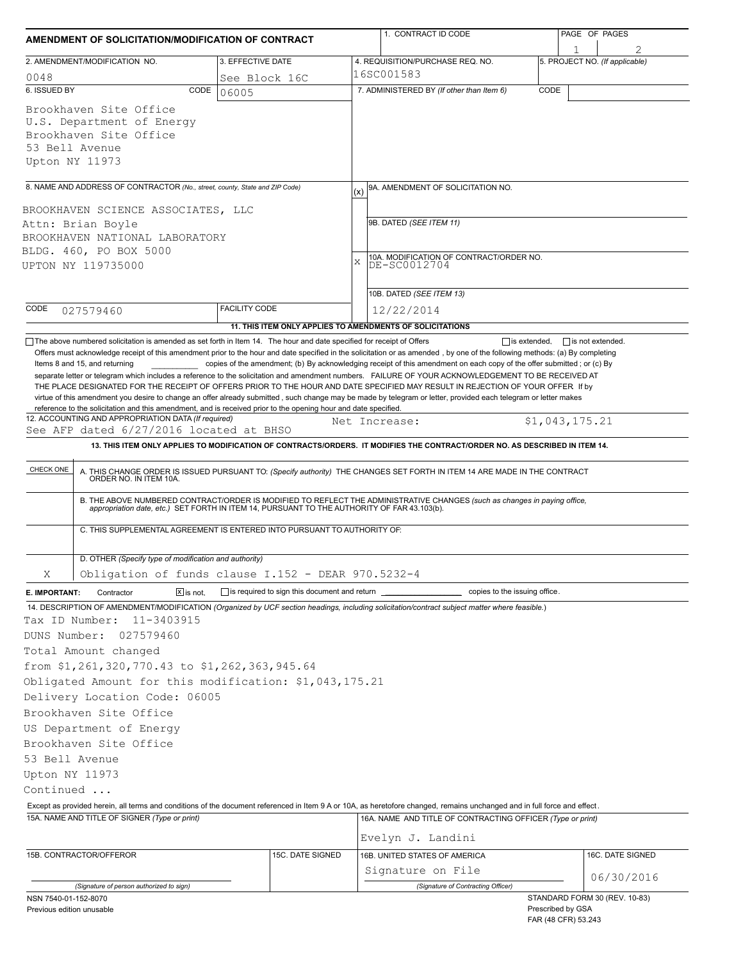| AMENDMENT OF SOLICITATION/MODIFICATION OF CONTRACT                                                                                                                                                                            |                                                | 1. CONTRACT ID CODE                                                                                                                                                                                                                                                       | PAGE OF PAGES                                                             |  |  |  |
|-------------------------------------------------------------------------------------------------------------------------------------------------------------------------------------------------------------------------------|------------------------------------------------|---------------------------------------------------------------------------------------------------------------------------------------------------------------------------------------------------------------------------------------------------------------------------|---------------------------------------------------------------------------|--|--|--|
|                                                                                                                                                                                                                               |                                                |                                                                                                                                                                                                                                                                           | 1                                                                         |  |  |  |
| 2. AMENDMENT/MODIFICATION NO.                                                                                                                                                                                                 | 3. EFFECTIVE DATE                              | 4. REQUISITION/PURCHASE REQ. NO.<br>16SC001583                                                                                                                                                                                                                            | 5. PROJECT NO. (If applicable)                                            |  |  |  |
| 0048<br>6. ISSUED BY<br>CODE                                                                                                                                                                                                  | See Block 16C                                  | 7. ADMINISTERED BY (If other than Item 6)                                                                                                                                                                                                                                 | CODE                                                                      |  |  |  |
| Brookhaven Site Office<br>U.S. Department of Energy<br>Brookhaven Site Office<br>53 Bell Avenue<br>Upton NY 11973                                                                                                             | 06005                                          |                                                                                                                                                                                                                                                                           |                                                                           |  |  |  |
|                                                                                                                                                                                                                               |                                                | 9A. AMENDMENT OF SOLICITATION NO.                                                                                                                                                                                                                                         |                                                                           |  |  |  |
| 8. NAME AND ADDRESS OF CONTRACTOR (No., street, county, State and ZIP Code)<br>BROOKHAVEN SCIENCE ASSOCIATES, LLC<br>Attn: Brian Boyle<br>BROOKHAVEN NATIONAL LABORATORY<br>BLDG. 460, PO BOX 5000<br>UPTON NY 119735000      |                                                | (x)<br>9B. DATED (SEE ITEM 11)<br>10A. MODIFICATION OF CONTRACT/ORDER NO.<br>X<br>DE-SC0012704                                                                                                                                                                            |                                                                           |  |  |  |
| CODE<br>027579460                                                                                                                                                                                                             | <b>FACILITY CODE</b>                           | 10B. DATED (SEE ITEM 13)<br>12/22/2014                                                                                                                                                                                                                                    |                                                                           |  |  |  |
|                                                                                                                                                                                                                               |                                                | 11. THIS ITEM ONLY APPLIES TO AMENDMENTS OF SOLICITATIONS                                                                                                                                                                                                                 |                                                                           |  |  |  |
| 12. ACCOUNTING AND APPROPRIATION DATA (If required)<br>See AFP dated 6/27/2016 located at BHSO<br>CHECK ONE<br>ORDER NO. IN ITEM 10A.                                                                                         |                                                | Net Increase:<br>13. THIS ITEM ONLY APPLIES TO MODIFICATION OF CONTRACTS/ORDERS. IT MODIFIES THE CONTRACT/ORDER NO. AS DESCRIBED IN ITEM 14.<br>A. THIS CHANGE ORDER IS ISSUED PURSUANT TO: (Specify authority) THE CHANGES SET FORTH IN ITEM 14 ARE MADE IN THE CONTRACT | \$1,043,175.21                                                            |  |  |  |
| C. THIS SUPPLEMENTAL AGREEMENT IS ENTERED INTO PURSUANT TO AUTHORITY OF:                                                                                                                                                      |                                                | B. THE ABOVE NUMBERED CONTRACT/ORDER IS MODIFIED TO REFLECT THE ADMINISTRATIVE CHANGES (such as changes in paying office, appropriation date, etc.) SET FORTH IN ITEM 14, PURSUANT TO THE AUTHORITY OF FAR 43.103(b).                                                     |                                                                           |  |  |  |
| D. OTHER (Specify type of modification and authority)                                                                                                                                                                         |                                                |                                                                                                                                                                                                                                                                           |                                                                           |  |  |  |
| Obligation of funds clause I.152 - DEAR 970.5232-4<br>Χ                                                                                                                                                                       |                                                |                                                                                                                                                                                                                                                                           |                                                                           |  |  |  |
| $\boxed{\mathsf{X}}$ is not.<br>Contractor<br>E. IMPORTANT:                                                                                                                                                                   | is required to sign this document and return _ | copies to the issuing office.                                                                                                                                                                                                                                             |                                                                           |  |  |  |
| Tax ID Number:<br>11-3403915<br>DUNS Number:<br>027579460<br>Total Amount changed<br>from \$1,261,320,770.43 to \$1,262,363,945.64<br>Obligated Amount for this modification: \$1,043,175.21<br>Delivery Location Code: 06005 |                                                | 14. DESCRIPTION OF AMENDMENT/MODIFICATION (Organized by UCF section headings, including solicitation/contract subject matter where feasible.)                                                                                                                             |                                                                           |  |  |  |
| Brookhaven Site Office                                                                                                                                                                                                        |                                                |                                                                                                                                                                                                                                                                           |                                                                           |  |  |  |
| US Department of Energy                                                                                                                                                                                                       |                                                |                                                                                                                                                                                                                                                                           |                                                                           |  |  |  |
| Brookhaven Site Office<br>53 Bell Avenue<br>Upton NY 11973<br>Continued                                                                                                                                                       |                                                |                                                                                                                                                                                                                                                                           |                                                                           |  |  |  |
|                                                                                                                                                                                                                               |                                                | Except as provided herein, all terms and conditions of the document referenced in Item 9 A or 10A, as heretofore changed, remains unchanged and in full force and effect.                                                                                                 |                                                                           |  |  |  |
| 15A. NAME AND TITLE OF SIGNER (Type or print)                                                                                                                                                                                 |                                                | 16A. NAME AND TITLE OF CONTRACTING OFFICER (Type or print)                                                                                                                                                                                                                |                                                                           |  |  |  |
| 15B. CONTRACTOR/OFFEROR                                                                                                                                                                                                       | 15C. DATE SIGNED                               | Evelyn J. Landini<br>16B. UNITED STATES OF AMERICA<br>Signature on File                                                                                                                                                                                                   | 16C. DATE SIGNED                                                          |  |  |  |
| (Signature of person authorized to sign)                                                                                                                                                                                      |                                                | (Signature of Contracting Officer)                                                                                                                                                                                                                                        | 06/30/2016                                                                |  |  |  |
| NSN 7540-01-152-8070<br>Previous edition unusable                                                                                                                                                                             |                                                |                                                                                                                                                                                                                                                                           | STANDARD FORM 30 (REV. 10-83)<br>Prescribed by GSA<br>FAR (48 CFR) 53.243 |  |  |  |